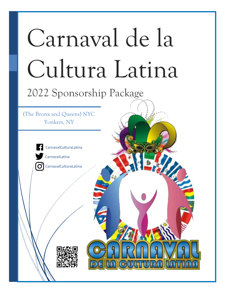# Carnaval de la Cultura Latina 12/28/2017 2022 Sponsorship Package (The Bronx and Queens) NYC Yonkers, NY CarnavalCulturaLatina CarnavalLatinaCarnavalCulturaLatina ΙOΊ

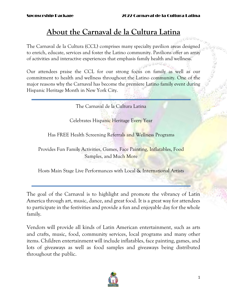## **About the Carnaval de la Cultura Latina**

The Carnaval de la Cultura (CCL) comprises many specialty pavilion areas designed to enrich, educate, services and foster the Latino community. Pavilions offer an array of activities and interactive experiences that emphasis family health and wellness.

Our attendees praise the CCL for our strong focus on family as well as our commitment to health and wellness throughout the Latino community. One of the major reasons why the Carnaval has become the premiere Latino family event during Hispanic Heritage Month in New York City.

The Carnaval de la Cultura Latina

Celebrates Hispanic Heritage Every Year

Has FREE Health Screening Referrals and Wellness Programs

Provides Fun Family Activities, Games, Face Painting, Inflatables, Food Samples, and Much More

Hosts Main Stage Live Performances with Local & International Artists

The goal of the Carnaval is to highlight and promote the vibrancy of Latin America through art, music, dance, and great food. It is a great way for attendees to participate in the festivities and provide a fun and enjoyable day for the whole family.

Vendors will provide all kinds of Latin American entertainment, such as arts and crafts, music, food, community services, local programs and many other items. Children entertainment will include inflatables, face painting, games, and lots of giveaways as well as food samples and giveaways being distributed throughout the public.

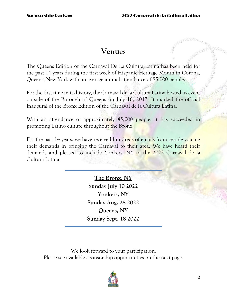## **Venues**

The Queens Edition of the Carnaval De La Cultura Latina has been held for the past 14 years during the first week of Hispanic Heritage Month in Corona, Queens, New York with an average annual attendance of 85,000 people.

For the first time in its history, the Carnaval de la Cultura Latina hosted its event outside of the Borough of Queens on July 16, 2017. It marked the official inaugural of the Bronx Edition of the Carnaval de la Cultura Latina.

With an attendance of approximately 45,000 people, it has succeeded in promoting Latino culture throughout the Bronx.

For the past 14 years, we have received hundreds of emails from people voicing their demands in bringing the Carnaval to their area. We have heard their demands and pleased to include Yonkers, NY to the 2022 Carnaval de la Cultura Latina.

> **The Bronx, NY Sunday July 10 2022 Yonkers, NY Sunday Aug. 28 2022 Queens, NY Sunday Sept. 18 2022**

We look forward to your participation. Please see available sponsorship opportunities on the next page.

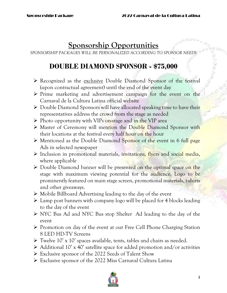## **Sponsorship Opportunities**

*SPONSORSHIP PACKAGES WILL BE PERSONALIZED ACCORDING TO SPONSOR NEEDS*

## **DOUBLE DIAMOND SPONSOR - \$75,000**

- $\triangleright$  Recognized as the exclusive Double Diamond Sponsor of the festival (upon contractual agreement) until the end of the event day
- $\triangleright$  Prime marketing and advertisement campaign for the event on the Carnaval de la Cultura Latina official website
- $\triangleright$  Double Diamond Sponsors will have allocated speaking time to have their representatives address the crowd from the stage as needed
- $\triangleright$  Photo opportunity with VIPs on-stage and in the VIP area
- Master of Ceremony will mention the Double Diamond Sponsor with their locations at the festival every half hour on the hour
- Mentioned as the Double Diamond Sponsor of the event in 6 full page Ads in selected newspaper
- > Inclusion in promotional materials, invitations, flyers and social media, where applicable
- $\triangleright$  Double Diamond banner will be presented on the optimal space on the stage with maximum viewing potential for the audience. Logo to be prominently featured on main stage screen, promotional materials, t-shirts and other giveaways.
- $\triangleright$  Mobile Billboard Advertising leading to the day of the event
- $\triangleright$  Lamp post banners with company logo will be placed for 4 blocks leading to the day of the event
- NYC Bus Ad and NYC Bus stop Shelter Ad leading to the day of the event
- Promotion on day of the event at our Free Cell Phone Charging Station 8 LED HD-TV Screens
- $\triangleright$  Twelve 10' x 10' spaces available, tents, tables and chairs as needed.
- $\triangleright$  Additional 10' x 40' satellite space for added promotion and/or activities
- Exclusive sponsor of the 2022 Seeds of Talent Show
- Exclusive sponsor of the 2022 Miss Carnaval Cultura Latina

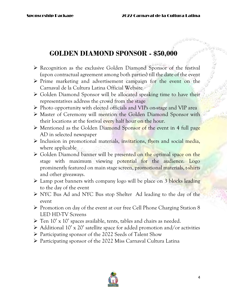## **GOLDEN DIAMOND SPONSOR - \$50,000**

- Recognition as the exclusive Golden Diamond Sponsor of the festival (upon contractual agreement among both parties) till the date of the event
- $\triangleright$  Prime marketing and advertisement campaign for the event on the Carnaval de la Cultura Latina Official Website
- $\triangleright$  Golden Diamond Sponsor will be allocated speaking time to have their representatives address the crowd from the stage
- $\triangleright$  Photo opportunity with elected officials and VIPs on-stage and VIP area
- Master of Ceremony will mention the Golden Diamond Sponsor with their locations at the festival every half hour on the hour.
- $\triangleright$  Mentioned as the Golden Diamond Sponsor of the event in 4 full page AD in selected newspaper
- $\triangleright$  Inclusion in promotional materials, invitations, flyers and social media, where applicable
- $\triangleright$  Golden Diamond banner will be presented on the optimal space on the stage with maximum viewing potential for the audience. Logo prominently featured on main stage screen, promotional materials, t-shirts and other giveaways.
- $\triangleright$  Lamp post banners with company logo will be place on 3 blocks leading to the day of the event
- NYC Bus Ad and NYC Bus stop Shelter Ad leading to the day of the event
- $\triangleright$  Promotion on day of the event at our free Cell Phone Charging Station 8 LED HD-TV Screens
- $\triangleright$  Ten 10' x 10' spaces available, tents, tables and chairs as needed.
- $\triangleright$  Additional 10' x 20' satellite space for added promotion and/or activities
- Participating sponsor of the 2022 Seeds of Talent Show
- Participating sponsor of the 2022 Miss Carnaval Cultura Latina

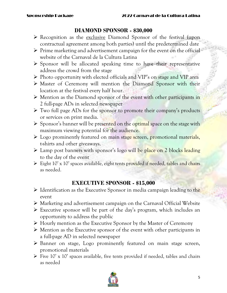#### **DIAMOND SPONSOR - \$30,000**

- $\triangleright$  Recognition as the exclusive Diamond Sponsor of the festival (upon contractual agreement among both parties) until the predetermined date
- $\triangleright$  Prime marketing and advertisement campaign for the event on the official website of the Carnaval de la Cultura Latina
- $\triangleright$  Sponsor will be allocated speaking time to have their representative address the crowd from the stage
- $\triangleright$  Photo opportunity with elected officials and VIP's on stage and VIP area
- Master of Ceremony will mention the Diamond Sponsor with their location at the festival every half hour.
- Mention as the Diamond sponsor of the event with other participants in 2 full-page ADs in selected newspaper
- $\triangleright$  Two full page ADs for the sponsor to promote their company's products or services on print media.
- $\triangleright$  Sponsor's banner will be presented on the optimal space on the stage with maximum viewing potential for the audience.
- $\triangleright$  Logo prominently featured on main stage screen, promotional materials, t-shirts and other giveaways.
- > Lamp post banners with sponsor's logo will be place on 2 blocks leading to the day of the event
- $\triangleright$  Eight 10' x 10' spaces available, eight tents provided if needed, tables and chairs as needed.

#### **EXECUTIVE SPONSOR - \$15,000**

- $\triangleright$  Identification as the Executive Sponsor in media campaign leading to the event
- Marketing and advertisement campaign on the Carnaval Official Website
- $\triangleright$  Executive sponsor will be part of the day's program, which includes an opportunity to address the public
- Hourly mention as the Executive Sponsor by the Master of Ceremony
- $\triangleright$  Mention as the Executive sponsor of the event with other participants in a full-page AD in selected newspaper
- Banner on stage, Logo prominently featured on main stage screen, promotional materials
- $\triangleright$  Five 10' x 10' spaces available, five tents provided if needed, tables and chairs as needed

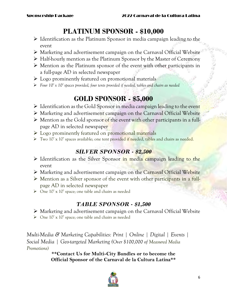## **PLATINUM SPONSOR - \$10,000**

- $\triangleright$  Identification as the Platinum Sponsor in media campaign leading to the event
- Marketing and advertisement campaign on the Carnaval Official Website
- $\triangleright$  Half-hourly mention as the Platinum Sponsor by the Master of Ceremony
- Mention as the Platinum sponsor of the event with other participants in a full-page AD in selected newspaper
- $\triangleright$  Logo prominently featured on promotional materials
- *Four 10' x 10' spaces provided, four tents provided if needed, tables and chairs as needed*

## **GOLD SPONSOR - \$5,000**

- $\triangleright$  Identification as the Gold Sponsor in media campaign leading to the event
- Marketing and advertisement campaign on the Carnaval Official Website
- $\triangleright$  Mention as the Gold sponsor of the event with other participants in a fullpage AD in selected newspaper
- ▶ Logo prominently featured on promotional materials
- > Two 10' x 10' spaces available; one tent provided if needed, tables and chairs as needed.

## *SILVER SPONSOR - \$2,500*

- $\triangleright$  Identification as the Silver Sponsor in media campaign leading to the event
- Marketing and advertisement campaign on the Carnaval Official Website
- $\triangleright$  Mention as a Silver sponsor of the event with other participants in a fullpage AD in selected newspaper
- One 10' x 10' space; one table and chairs as needed

## *TABLE SPONSOR - \$1,500*

- Marketing and advertisement campaign on the Carnaval Official Website
- One 10' x 10' space; one table and chairs as needed

*Multi-Media & Marketing Capabilities: Print | Online | Digital | Events | Social Media | Geo-targeted Marketing (Over \$100,000 of Measured Media Promotions)*

**\*\*Contact Us for Multi-City Bundles or to become the Official Sponsor of the Carnaval de la Cultura Latina\*\***

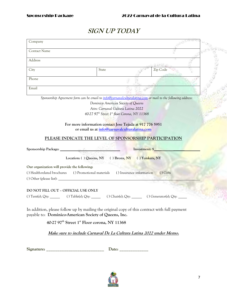### **SIGN UP TODAY**

| Company                                                                                                                                                                                                                        |                                                                      |          |  |
|--------------------------------------------------------------------------------------------------------------------------------------------------------------------------------------------------------------------------------|----------------------------------------------------------------------|----------|--|
| <b>Contact Name</b>                                                                                                                                                                                                            |                                                                      |          |  |
| Address                                                                                                                                                                                                                        |                                                                      |          |  |
| City                                                                                                                                                                                                                           | State                                                                | Zip Code |  |
| Phone                                                                                                                                                                                                                          |                                                                      |          |  |
| Email                                                                                                                                                                                                                          |                                                                      |          |  |
| Sponsorship Agreement form can be email to info@carnavalculturalatina.com or mail to the following address:                                                                                                                    |                                                                      |          |  |
|                                                                                                                                                                                                                                | Dominico American Society of Queens                                  |          |  |
|                                                                                                                                                                                                                                | Attn: Carnaval Cultura Latina 2022                                   |          |  |
|                                                                                                                                                                                                                                | 40-27 97 <sup>th</sup> Street 1 <sup>st</sup> floor Corona, NY 11368 |          |  |
|                                                                                                                                                                                                                                |                                                                      |          |  |
|                                                                                                                                                                                                                                | For more information contact Jose Tejada at 917 776 5951             |          |  |
|                                                                                                                                                                                                                                | or email us at info@carnavalculturalatina.com                        |          |  |
|                                                                                                                                                                                                                                | PLEASE INDICATE THE LEVEL OF SPONSORSHIP PARTICIPATION               |          |  |
|                                                                                                                                                                                                                                |                                                                      |          |  |
| Sponsorship Package: Maria Contract of The Maria Contract of The Maria Contract of The Maria Contract of The Maria Contract of The Maria Contract of The Maria Contract of The Maria Contract of The Maria Contract of The Mar |                                                                      |          |  |
|                                                                                                                                                                                                                                | Location: () Queens, NY () Bronx, NY () Yonkers, NY                  |          |  |
| Our organization will provide the following:                                                                                                                                                                                   |                                                                      |          |  |
| () Health-related brochures () Promotional materials () Insurance information                                                                                                                                                  |                                                                      | () Gifts |  |
|                                                                                                                                                                                                                                |                                                                      |          |  |
|                                                                                                                                                                                                                                |                                                                      |          |  |
| DO NOT FILL OUT - OFFICIAL USE ONLY                                                                                                                                                                                            |                                                                      |          |  |
| () Tent(s); Qty: $\qquad \qquad$ () Table(s); Qty: $\qquad \qquad$ () Chair(s); Qty: $\qquad \qquad$ () Generator(s); Qty:                                                                                                     |                                                                      |          |  |
|                                                                                                                                                                                                                                |                                                                      |          |  |
| In addition, please follow up by mailing the original copy of this contract with full payment<br>payable to: Dominico-American Society of Queens, Inc.                                                                         |                                                                      |          |  |
|                                                                                                                                                                                                                                | 40-27 97 <sup>th</sup> Street 1 <sup>st</sup> Floor corona, NY 11368 |          |  |
|                                                                                                                                                                                                                                |                                                                      |          |  |
|                                                                                                                                                                                                                                | Make sure to include Carnaval De La Cultura Latina 2022 under Memo.  |          |  |
|                                                                                                                                                                                                                                |                                                                      |          |  |
| Signature:                                                                                                                                                                                                                     | Date: $\overline{\phantom{a}}$                                       |          |  |